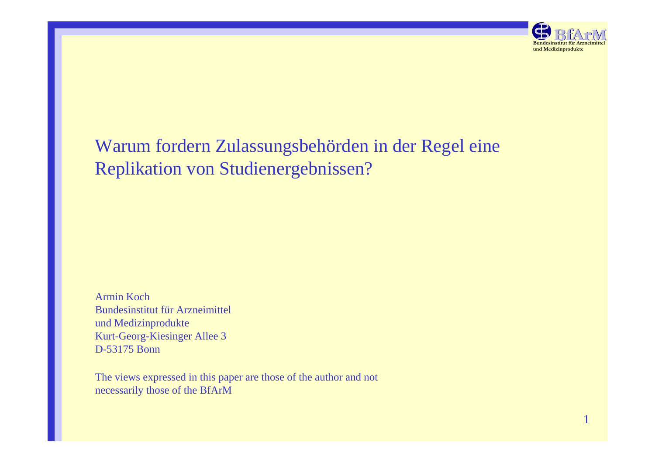

# Warum fordern Zulassungsbehörden in der Regel eine Replikation von Studienergebnissen?

Armin Koch Bundesinstitut für Arzneimittel und Medizinprodukte Kurt-Georg-Kiesinger Allee 3 D-53175 Bonn

The views expressed in this paper are those of the author and not necessarily those of the BfArM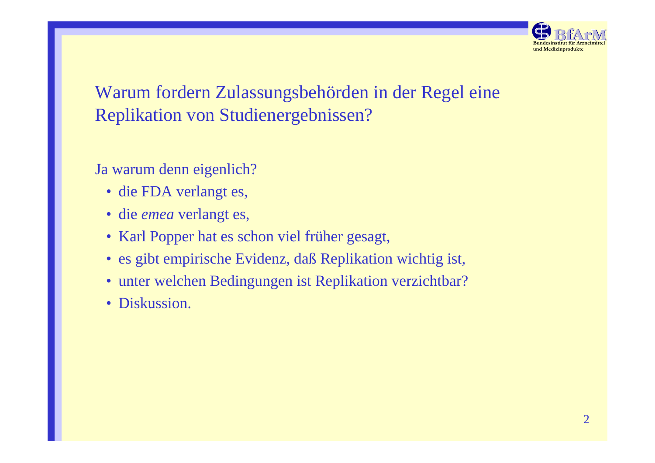

# Warum fordern Zulassungsbehörden in der Regel eine Replikation von Studienergebnissen?

Ja warum denn eigenlich?

- die FDA verlangt es,
- die *emea* verlangt es,
- Karl Popper hat es schon viel früher gesagt,
- es gibt empirische Evidenz, daß Replikation wichtig ist,
- unter welchen Bedingungen ist Replikation verzichtbar?
- Diskussion.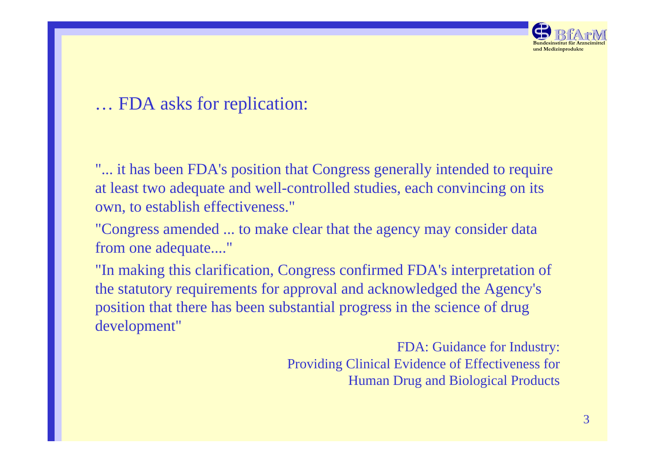

## … FDA asks for replication:

"... it has been FDA's position that Congress generally intended to require at least two adequate and well-controlled studies, each convincing on its own, to establish effectiveness."

"Congress amended ... to make clear that the agency may consider data from one adequate...."

"In making this clarification, Congress confirmed FDA's interpretation of the statutory requirements for approval and acknowledged the Agency's position that there has been substantial progress in the science of drug development"

> FDA: Guidance for Industry: Providing Clinical Evidence of Effectiveness for Human Drug and Biological Products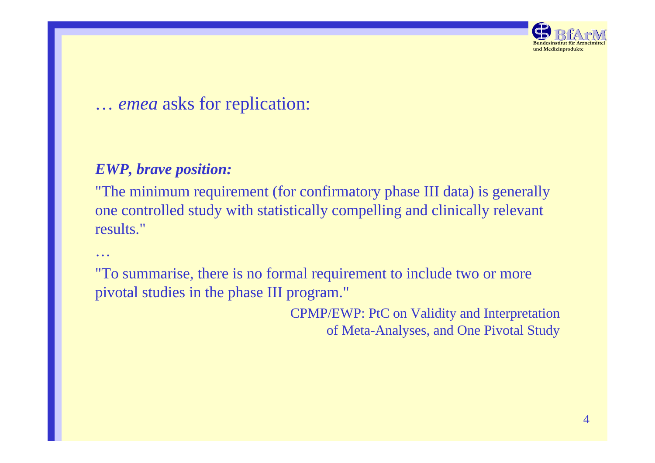

## … *emea* asks for replication:

### *EWP, brave position:*

"The minimum requirement (for confirmatory phase III data) is generally one controlled study with statistically compelling and clinically relevant results."

…

"To summarise, there is no formal requirement to include two or more pivotal studies in the phase III program."

> CPMP/EWP: PtC on Validity and Interpretation of Meta-Analyses, and One Pivotal Study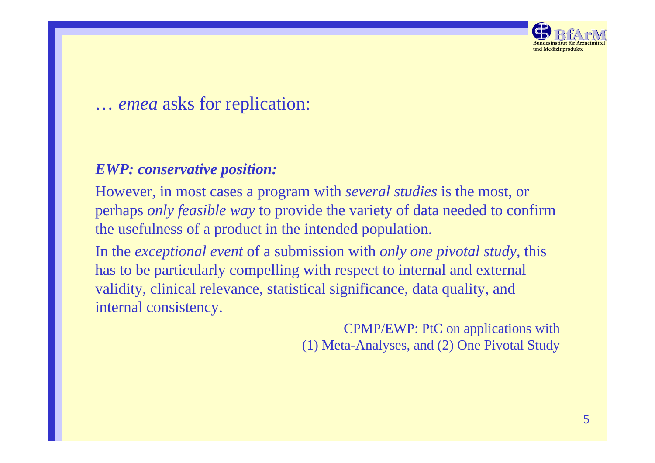

## … *emea* asks for replication:

### *EWP: conservative position:*

However, in most cases a program with *several studies* is the most, or perhaps *only feasible way* to provide the variety of data needed to confirm the usefulness of a product in the intended population.

In the *exceptional event* of a submission with *only one pivotal study*, this has to be particularly compelling with respect to internal and external validity, clinical relevance, statistical significance, data quality, and internal consistency.

> CPMP/EWP: PtC on applications with (1) Meta-Analyses, and (2) One Pivotal Study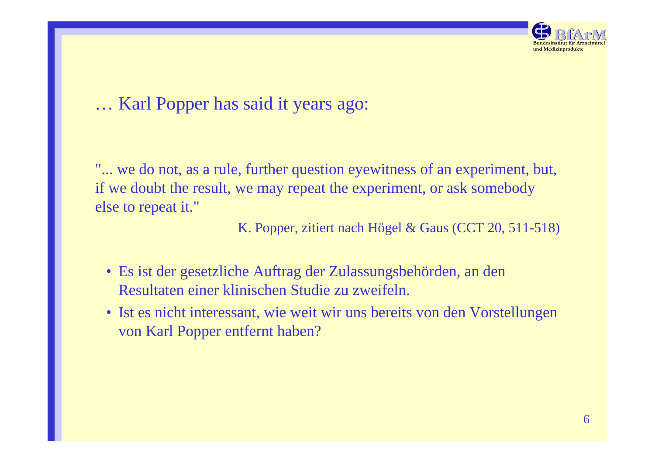

## … Karl Popper has said it years ago:

"... we do not, as a rule, further question eyewitness of an experiment, but, if we doubt the result, we may repeat the experiment, or ask somebody else to repeat it."

K. Popper, zitiert nach Högel & Gaus (CCT 20, 511-518)

- Es ist der gesetzliche Auftrag der Zulassungsbehörden, an den Resultaten einer klinischen Studie zu zweifeln.
- Ist es nicht interessant, wie weit wir uns bereits von den Vorstellungen von Karl Popper entfernt haben?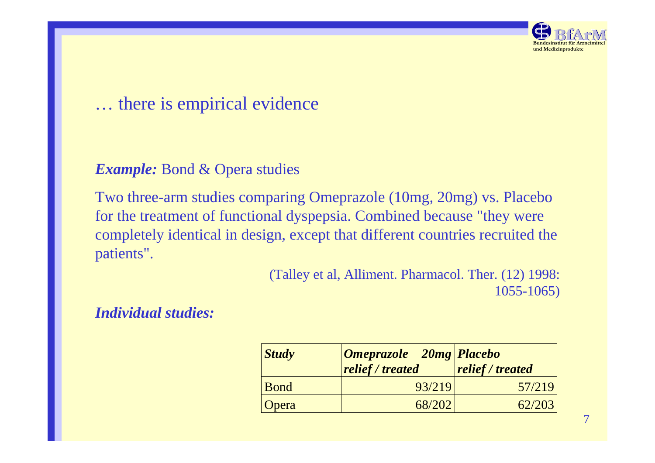

#### *Example:* Bond & Opera studies

Two three-arm studies comparing Omeprazole (10mg, 20mg) vs. Placebo for the treatment of functional dyspepsia. Combined because "they were completely identical in design, except that different countries recruited the patients".

> (Talley et al, Alliment. Pharmacol. Ther. (12) 1998: 1055-1065)

#### *Individual studies:*

| $\boldsymbol{\vert} \boldsymbol{Study}$ | <b>Omeprazole</b> 20mg Placebo<br>$\sqrt{\textit{relief}/\textit{treated}}$ | relief / treated |
|-----------------------------------------|-----------------------------------------------------------------------------|------------------|
| Bond                                    | 93/219                                                                      | 57/219           |
| <b>Opera</b>                            | 68/202                                                                      | 62/203           |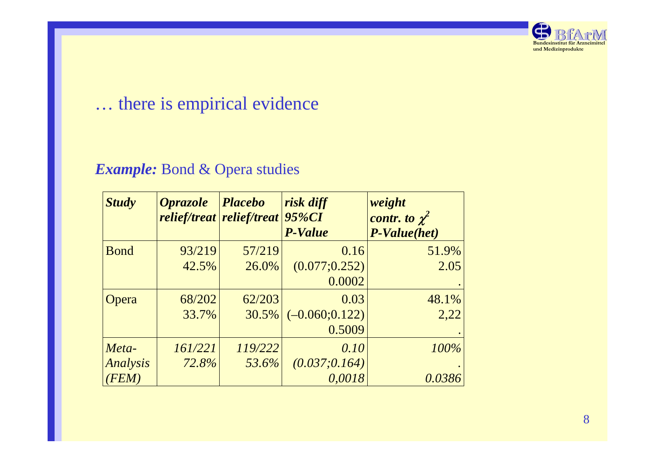

### *Example:* Bond & Opera studies

| <b>Study</b> | <b>Oprazole</b> | <i>Placebo</i><br><i>relief/treat   relief/treat  </i> | risk diff<br>95%CI | weight<br>contr. to $\chi^2$ |  |
|--------------|-----------------|--------------------------------------------------------|--------------------|------------------------------|--|
|              |                 |                                                        | <b>P-Value</b>     | <b>P-Value(het)</b>          |  |
| <b>B</b> ond | 93/219          | 57/219                                                 | 0.16               | 51.9%                        |  |
|              | 42.5%           | 26.0%                                                  | (0.077; 0.252)     | 2.05                         |  |
|              |                 |                                                        | 0.0002             |                              |  |
| Opera        | 68/202          | 62/203                                                 | 0.03               | 48.1%                        |  |
|              | 33.7%           | 30.5%                                                  | $(-0.060; 0.122)$  | 2.22                         |  |
|              |                 |                                                        | 0.5009             |                              |  |
| Meta-        | 161/221         | 119/222                                                | 0.10               | 100%                         |  |
| Analysis     | 72.8%           | 53.6%                                                  | (0.037; 0.164)     |                              |  |
| (FEM)        |                 |                                                        | 0,0018             | 0.0386                       |  |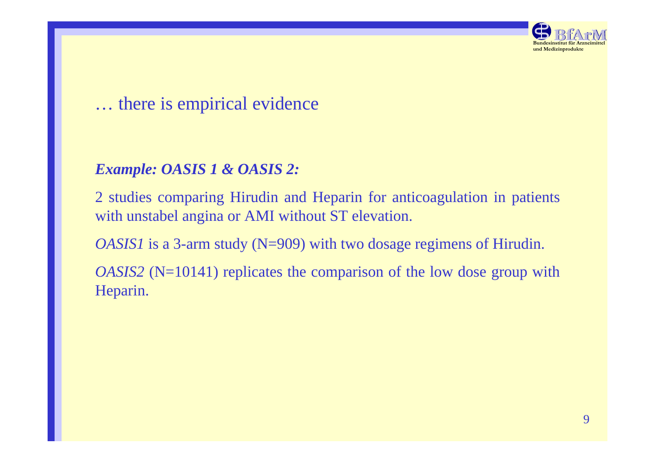

### *Example: OASIS 1 & OASIS 2:*

2 studies comparing Hirudin and Heparin for anticoagulation in patients with unstabel angina or AMI without ST elevation.

*OASIS1* is a 3-arm study (N=909) with two dosage regimens of Hirudin.

*OASIS2* (N=10141) replicates the comparison of the low dose group with Heparin.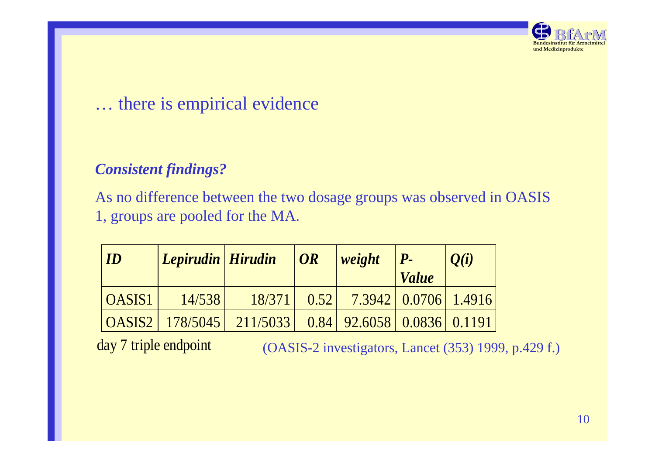

### *Consistent findings?*

As no difference between the two dosage groups was observed in OASIS 1, groups are pooled for the MA.

| $\blacksquare$ | Lepirudin Hirudin |                                       | OR   | weight                             | $\mathbf{P}_{\text{-}}$<br><i>Value</i> | Q(i) |
|----------------|-------------------|---------------------------------------|------|------------------------------------|-----------------------------------------|------|
| <b>OASIS1</b>  | 14/538            | 18/371                                | 0.52 |                                    | 7.3942 0.0706 1.4916                    |      |
|                |                   | $\text{OASIS2}$   178/5045   211/5033 |      | $0.84$   92.6058   0.0836   0.1191 |                                         |      |

day 7 triple endpoint

(OASIS-2 investigators, Lancet (353) 1999, p.429 f.)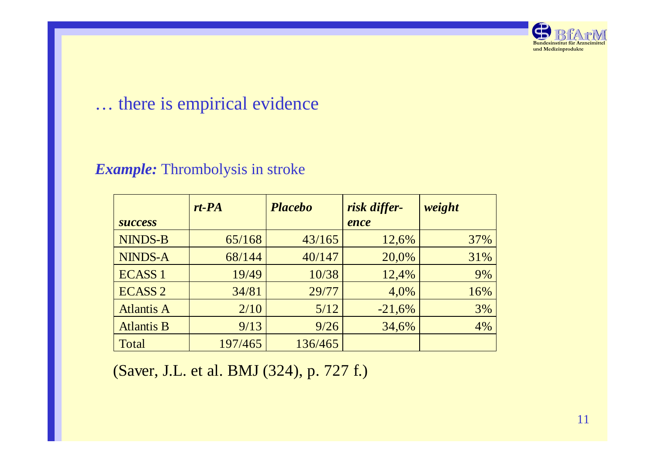

## *Example:* Thrombolysis in stroke

|                   | $rt$ - $PA$ | <b>Placebo</b> | risk differ- | weight |
|-------------------|-------------|----------------|--------------|--------|
| <b>SUCCESS</b>    |             |                | ence         |        |
| <b>NINDS-B</b>    | 65/168      | 43/165         | 12,6%        | 37%    |
| <b>NINDS-A</b>    | 68/144      | 40/147         | 20,0%        | 31%    |
| <b>ECASS 1</b>    | 19/49       | 10/38          | 12,4%        | 9%     |
| <b>ECASS 2</b>    | 34/81       | 29/77          | 4,0%         | 16%    |
| <b>Atlantis A</b> | 2/10        | 5/12           | $-21,6%$     | 3%     |
| <b>Atlantis B</b> | 9/13        | 9/26           | 34,6%        | 4%     |
| Total             | 197/465     | 136/465        |              |        |

(Saver, J.L. et al. BMJ (324), p. 727 f.)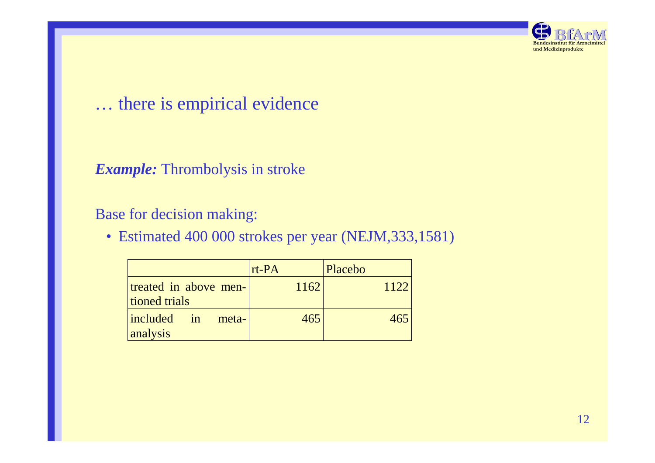

#### *Example:* Thrombolysis in stroke

### Base for decision making:

• Estimated 400 000 strokes per year (NEJM,333,1581)

|                                            | $rt$ - $PA$ | Placebo |
|--------------------------------------------|-------------|---------|
| treated in above men-<br>tioned trials     | 1162        | 1122    |
| $ include \rangle$ in<br>meta-<br>analysis | 465         | 465     |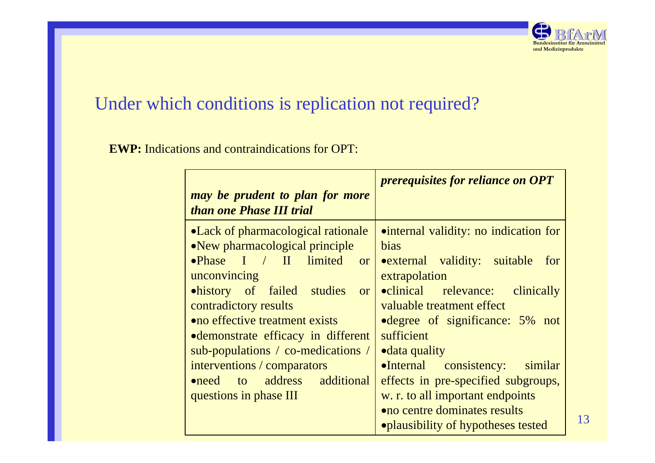

# Under which conditions is replication not required?

**EWP:** Indications and contraindications for OPT:

| may be prudent to plan for more<br>than one Phase III trial                                                                                                                                                                                                                                                                                                                                                     | <i>prerequisites for reliance on OPT</i>                                                                                                                                                                                                                                                                                                                                                                                                                     |
|-----------------------------------------------------------------------------------------------------------------------------------------------------------------------------------------------------------------------------------------------------------------------------------------------------------------------------------------------------------------------------------------------------------------|--------------------------------------------------------------------------------------------------------------------------------------------------------------------------------------------------------------------------------------------------------------------------------------------------------------------------------------------------------------------------------------------------------------------------------------------------------------|
| • Lack of pharmacological rationale<br>• New pharmacological principle<br>•Phase I / II limited<br><b>or</b><br>unconvincing<br><b>ohistory</b> of failed studies<br><b>or</b><br>contradictory results<br>• no effective treatment exists<br>• demonstrate efficacy in different<br>sub-populations / co-medications /<br>interventions / comparators<br>•need to address additional<br>questions in phase III | • internal validity: no indication for<br>bias<br><b>•</b> external validity: suitable<br>for<br>extrapolation<br><b>•clinical</b> relevance: clinically<br>valuable treatment effect<br>• degree of significance: 5% not<br>sufficient<br><b>•</b> data quality<br>•Internal consistency: similar<br>effects in pre-specified subgroups,<br>w. r. to all important endpoints<br><b>• no centre dominates results</b><br>• plausibility of hypotheses tested |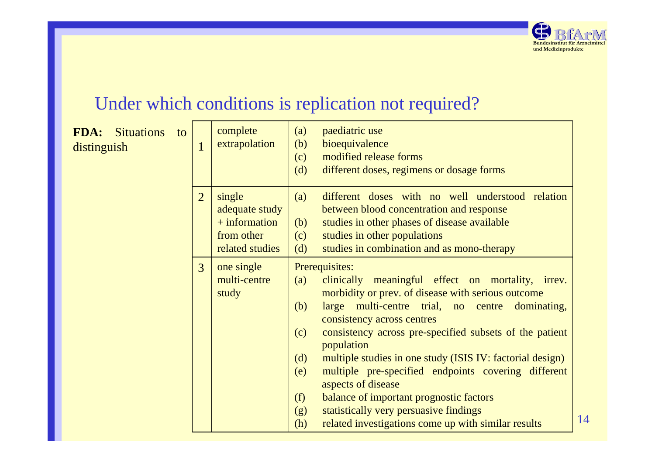

14

# Under which conditions is replication not required?

| FDA:<br><b>Situations</b><br>to<br>distinguish | $\mathbf{1}$   | complete<br>extrapolation                                                    | (a)<br>(b)<br>(c)<br>(d)                             | paediatric use<br>bioequivalence<br>modified release forms<br>different doses, regimens or dosage forms                                                                                                                                                                                                                                                                                                                                                                                                                                                                      |
|------------------------------------------------|----------------|------------------------------------------------------------------------------|------------------------------------------------------|------------------------------------------------------------------------------------------------------------------------------------------------------------------------------------------------------------------------------------------------------------------------------------------------------------------------------------------------------------------------------------------------------------------------------------------------------------------------------------------------------------------------------------------------------------------------------|
|                                                | $\overline{2}$ | single<br>adequate study<br>$+$ information<br>from other<br>related studies | (a)<br>(b)<br>(c)<br>(d)                             | different doses with no well understood relation<br>between blood concentration and response<br>studies in other phases of disease available<br>studies in other populations<br>studies in combination and as mono-therapy                                                                                                                                                                                                                                                                                                                                                   |
|                                                | 3              | one single<br>multi-centre<br>study                                          | (a)<br>(b)<br>(c)<br>(d)<br>(e)<br>(f)<br>(g)<br>(h) | Prerequisites:<br>clinically meaningful effect on mortality, irrev.<br>morbidity or prev. of disease with serious outcome<br>large multi-centre trial, no centre<br>dominating,<br>consistency across centres<br>consistency across pre-specified subsets of the patient<br>population<br>multiple studies in one study (ISIS IV: factorial design)<br>multiple pre-specified endpoints covering different<br>aspects of disease<br>balance of important prognostic factors<br>statistically very persuasive findings<br>related investigations come up with similar results |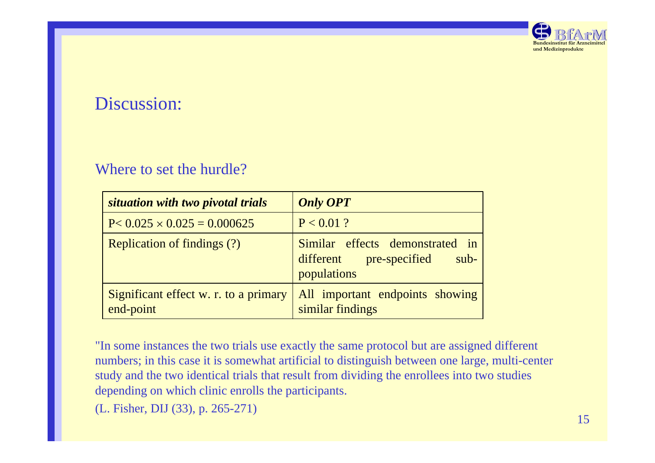

## Discussion:

#### Where to set the hurdle?

| situation with two pivotal trials                  | <b>Only OPT</b>                                                                     |
|----------------------------------------------------|-------------------------------------------------------------------------------------|
| $P < 0.025 \times 0.025 = 0.000625$                | $P < 0.01$ ?                                                                        |
| <b>Replication of findings (?)</b>                 | Similar effects demonstrated in<br>different pre-specified<br>$sub-$<br>populations |
| Significant effect w. r. to a primary<br>end-point | All important endpoints showing<br>similar findings                                 |

"In some instances the two trials use exactly the same protocol but are assigned different numbers; in this case it is somewhat artificial to distinguish between one large, multi-center study and the two identical trials that result from dividing the enrollees into two studies depending on which clinic enrolls the participants.

(L. Fisher, DIJ (33), p. 265-271)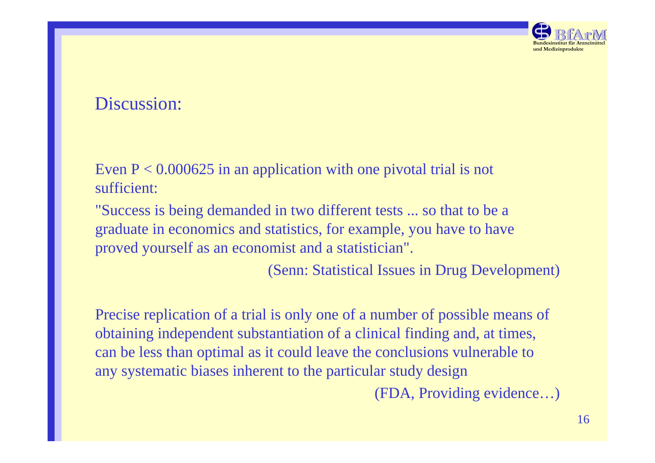

## Discussion:

Even  $P < 0.000625$  in an application with one pivotal trial is not sufficient:

"Success is being demanded in two different tests ... so that to be a graduate in economics and statistics, for example, you have to have proved yourself as an economist and a statistician".

(Senn: Statistical Issues in Drug Development)

Precise replication of a trial is only one of a number of possible means of obtaining independent substantiation of a clinical finding and, at times, can be less than optimal as it could leave the conclusions vulnerable to any systematic biases inherent to the particular study design (FDA, Providing evidence…)